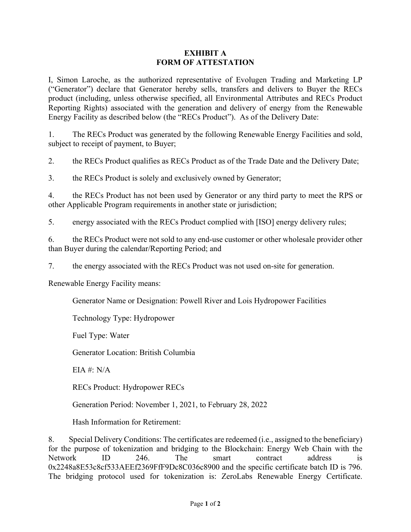## **EXHIBIT A FORM OF ATTESTATION**

I, Simon Laroche, as the authorized representative of Evolugen Trading and Marketing LP ("Generator") declare that Generator hereby sells, transfers and delivers to Buyer the RECs product (including, unless otherwise specified, all Environmental Attributes and RECs Product Reporting Rights) associated with the generation and delivery of energy from the Renewable Energy Facility as described below (the "RECs Product"). As of the Delivery Date:

1. The RECs Product was generated by the following Renewable Energy Facilities and sold, subject to receipt of payment, to Buyer;

2. the RECs Product qualifies as RECs Product as of the Trade Date and the Delivery Date;

3. the RECs Product is solely and exclusively owned by Generator;

4. the RECs Product has not been used by Generator or any third party to meet the RPS or other Applicable Program requirements in another state or jurisdiction;

5. energy associated with the RECs Product complied with [ISO] energy delivery rules;

6. the RECs Product were not sold to any end-use customer or other wholesale provider other than Buyer during the calendar/Reporting Period; and

7. the energy associated with the RECs Product was not used on-site for generation.

Renewable Energy Facility means:

Generator Name or Designation: Powell River and Lois Hydropower Facilities

Technology Type: Hydropower

Fuel Type: Water

Generator Location: British Columbia

EIA #: N/A

RECs Product: Hydropower RECs

Generation Period: November 1, 2021, to February 28, 2022

Hash Information for Retirement:

8. Special Delivery Conditions: The certificates are redeemed (i.e., assigned to the beneficiary) for the purpose of tokenization and bridging to the Blockchain: Energy Web Chain with the Network ID 246. The smart contract address is 0x2248a8E53c8cf533AEEf2369FfF9Dc8C036c8900 and the specific certificate batch ID is 796. The bridging protocol used for tokenization is: ZeroLabs Renewable Energy Certificate.